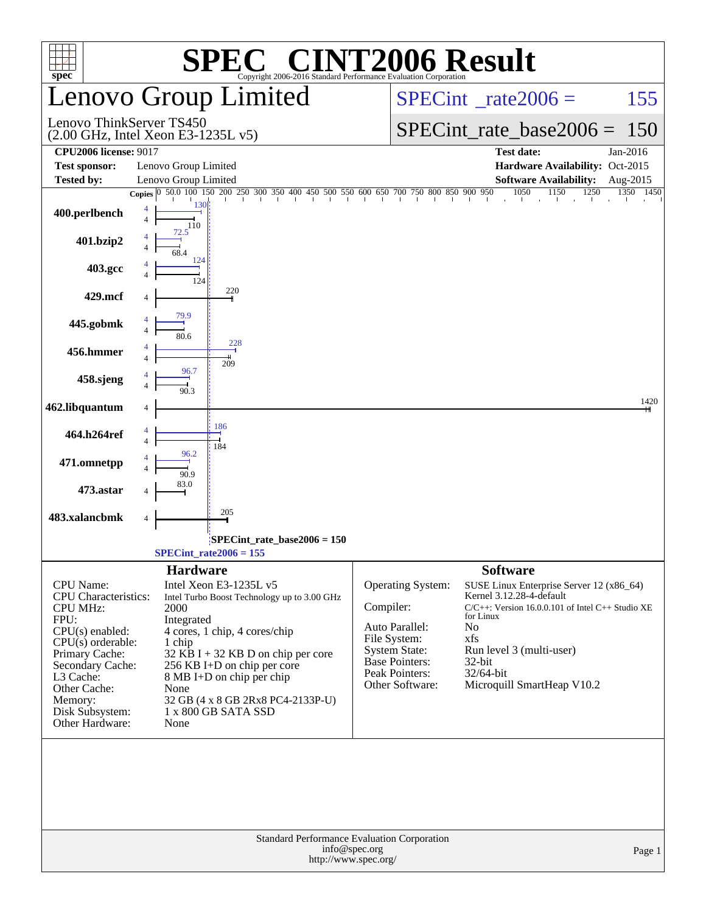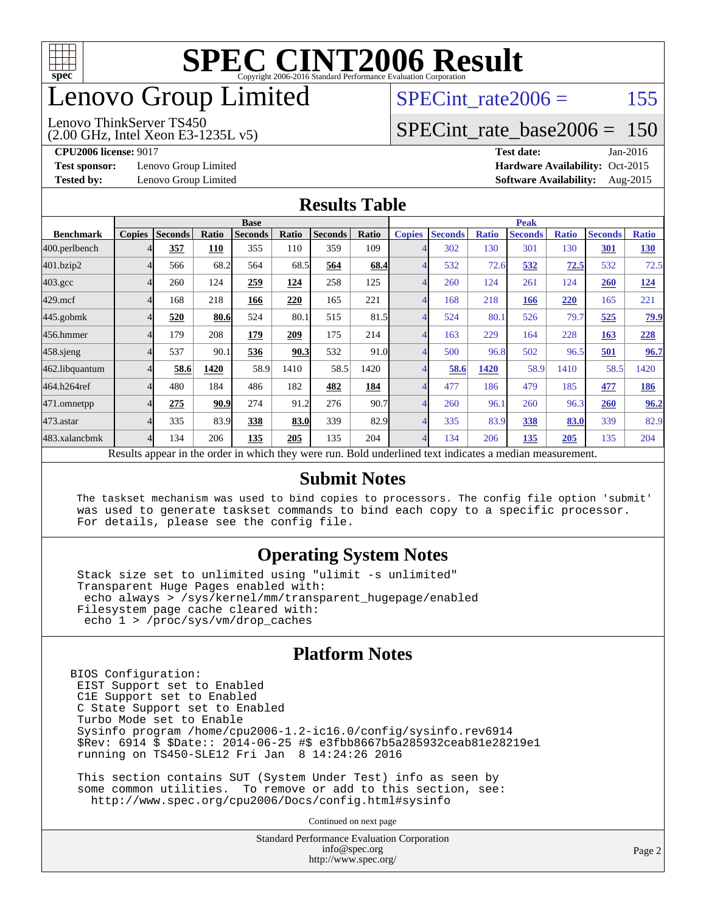

# enovo Group Limited

#### Lenovo ThinkServer TS450

SPECint rate $2006 = 155$ 

### [SPECint\\_rate\\_base2006 =](http://www.spec.org/auto/cpu2006/Docs/result-fields.html#SPECintratebase2006) 150

(2.00 GHz, Intel Xeon E3-1235L v5)

**[CPU2006 license:](http://www.spec.org/auto/cpu2006/Docs/result-fields.html#CPU2006license)** 9017 **[Test date:](http://www.spec.org/auto/cpu2006/Docs/result-fields.html#Testdate)** Jan-2016 **[Test sponsor:](http://www.spec.org/auto/cpu2006/Docs/result-fields.html#Testsponsor)** Lenovo Group Limited **[Hardware Availability:](http://www.spec.org/auto/cpu2006/Docs/result-fields.html#HardwareAvailability)** Oct-2015 **[Tested by:](http://www.spec.org/auto/cpu2006/Docs/result-fields.html#Testedby)** Lenovo Group Limited **[Software Availability:](http://www.spec.org/auto/cpu2006/Docs/result-fields.html#SoftwareAvailability)** Aug-2015

#### **[Results Table](http://www.spec.org/auto/cpu2006/Docs/result-fields.html#ResultsTable)**

|                                                                                                        | <b>Base</b>   |                |       |                |       |                |       | <b>Peak</b>   |                |              |                |              |                |              |  |
|--------------------------------------------------------------------------------------------------------|---------------|----------------|-------|----------------|-------|----------------|-------|---------------|----------------|--------------|----------------|--------------|----------------|--------------|--|
| <b>Benchmark</b>                                                                                       | <b>Copies</b> | <b>Seconds</b> | Ratio | <b>Seconds</b> | Ratio | <b>Seconds</b> | Ratio | <b>Copies</b> | <b>Seconds</b> | <b>Ratio</b> | <b>Seconds</b> | <b>Ratio</b> | <b>Seconds</b> | <b>Ratio</b> |  |
| 400.perlbench                                                                                          |               | 357            | 110   | 355            | 110   | 359            | 109   |               | 302            | 130          | 301            | 130          | 301            | <b>130</b>   |  |
| 401.bzip2                                                                                              | 4             | 566            | 68.2  | 564            | 68.5  | 564            | 68.4  | 4             | 532            | 72.6         | 532            | 72.5         | 532            | 72.5         |  |
| $403.\mathrm{gcc}$                                                                                     | 4             | 260            | 124   | 259            | 124   | 258            | 125   | 4             | 260            | 124          | 261            | 124          | <b>260</b>     | <u>124</u>   |  |
| $429$ .mcf                                                                                             | 4             | 168            | 218   | 166            | 220   | 165            | 221   | 4             | 168            | 218          | 166            | 220          | 165            | 221          |  |
| $445$ .gobm $k$                                                                                        | 4             | 520            | 80.6  | 524            | 80.1  | 515            | 81.5  | 4             | 524            | 80.1         | 526            | 79.7         | 525            | 79.9         |  |
| 456.hmmer                                                                                              |               | 179            | 208   | 179            | 209   | 175            | 214   |               | 163            | 229          | 164            | 228          | 163            | 228          |  |
| $458$ .sjeng                                                                                           | 4             | 537            | 90.1  | 536            | 90.3  | 532            | 91.0  | 4             | 500            | 96.8         | 502            | 96.5         | 501            | 96.7         |  |
| 462.libquantum                                                                                         | 4             | 58.6           | 1420  | 58.9           | 1410  | 58.5           | 1420  | 4             | 58.6           | 1420         | 58.9           | 1410         | 58.5           | 1420         |  |
| 464.h264ref                                                                                            | 4             | 480            | 184   | 486            | 182   | 482            | 184   | 4             | 477            | 186          | 479            | 185          | 477            | 186          |  |
| 471.omnetpp                                                                                            | 4             | 275            | 90.9  | 274            | 91.2  | 276            | 90.7  | 4             | 260            | 96.1         | 260            | 96.3         | 260            | 96.2         |  |
| $473.$ astar                                                                                           | 4             | 335            | 83.9  | 338            | 83.0  | 339            | 82.9  | 4             | 335            | 83.9         | 338            | 83.0         | 339            | 82.9         |  |
| 483.xalancbmk                                                                                          | 4             | 134            | 206   | 135            | 205   | 135            | 204   | 4             | 134            | 206          | 135            | 205          | 135            | 204          |  |
| Decute ennear in the order in which they were run. Pold underlined text indicates a median measurement |               |                |       |                |       |                |       |               |                |              |                |              |                |              |  |

Results appear in the [order in which they were run.](http://www.spec.org/auto/cpu2006/Docs/result-fields.html#RunOrder) Bold underlined text [indicates a median measurement.](http://www.spec.org/auto/cpu2006/Docs/result-fields.html#Median)

#### **[Submit Notes](http://www.spec.org/auto/cpu2006/Docs/result-fields.html#SubmitNotes)**

 The taskset mechanism was used to bind copies to processors. The config file option 'submit' was used to generate taskset commands to bind each copy to a specific processor. For details, please see the config file.

#### **[Operating System Notes](http://www.spec.org/auto/cpu2006/Docs/result-fields.html#OperatingSystemNotes)**

 Stack size set to unlimited using "ulimit -s unlimited" Transparent Huge Pages enabled with: echo always > /sys/kernel/mm/transparent\_hugepage/enabled Filesystem page cache cleared with: echo 1 > /proc/sys/vm/drop\_caches

#### **[Platform Notes](http://www.spec.org/auto/cpu2006/Docs/result-fields.html#PlatformNotes)**

BIOS Configuration: EIST Support set to Enabled C1E Support set to Enabled C State Support set to Enabled Turbo Mode set to Enable Sysinfo program /home/cpu2006-1.2-ic16.0/config/sysinfo.rev6914 \$Rev: 6914 \$ \$Date:: 2014-06-25 #\$ e3fbb8667b5a285932ceab81e28219e1 running on TS450-SLE12 Fri Jan 8 14:24:26 2016

 This section contains SUT (System Under Test) info as seen by some common utilities. To remove or add to this section, see: <http://www.spec.org/cpu2006/Docs/config.html#sysinfo>

Continued on next page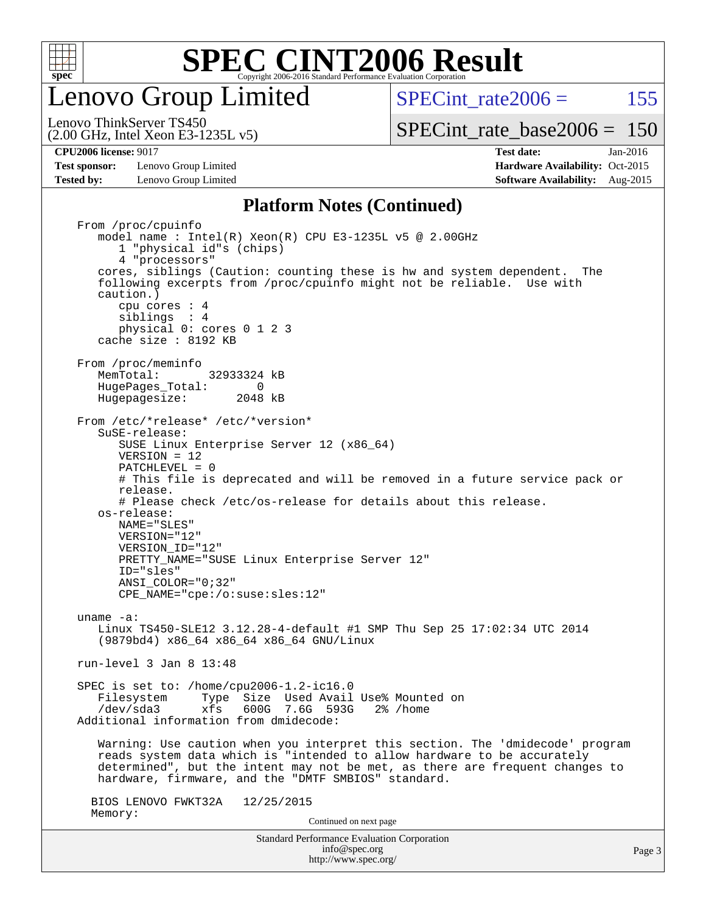

enovo Group Limited

SPECint rate $2006 = 155$ [SPECint\\_rate\\_base2006 =](http://www.spec.org/auto/cpu2006/Docs/result-fields.html#SPECintratebase2006) 150

(2.00 GHz, Intel Xeon E3-1235L v5) Lenovo ThinkServer TS450

**[Test sponsor:](http://www.spec.org/auto/cpu2006/Docs/result-fields.html#Testsponsor)** Lenovo Group Limited **[Hardware Availability:](http://www.spec.org/auto/cpu2006/Docs/result-fields.html#HardwareAvailability)** Oct-2015 **[Tested by:](http://www.spec.org/auto/cpu2006/Docs/result-fields.html#Testedby)** Lenovo Group Limited **[Software Availability:](http://www.spec.org/auto/cpu2006/Docs/result-fields.html#SoftwareAvailability)** Aug-2015

**[CPU2006 license:](http://www.spec.org/auto/cpu2006/Docs/result-fields.html#CPU2006license)** 9017 **[Test date:](http://www.spec.org/auto/cpu2006/Docs/result-fields.html#Testdate)** Jan-2016

#### **[Platform Notes \(Continued\)](http://www.spec.org/auto/cpu2006/Docs/result-fields.html#PlatformNotes)**

Standard Performance Evaluation Corporation [info@spec.org](mailto:info@spec.org) Page 3 From /proc/cpuinfo model name : Intel(R) Xeon(R) CPU E3-1235L v5 @ 2.00GHz 1 "physical id"s (chips) 4 "processors" cores, siblings (Caution: counting these is hw and system dependent. The following excerpts from /proc/cpuinfo might not be reliable. Use with caution.) cpu cores : 4 siblings : 4 physical 0: cores 0 1 2 3 cache size : 8192 KB From /proc/meminfo<br>MemTotal: 32933324 kB HugePages\_Total: 0<br>Hugepagesize: 2048 kB Hugepagesize: From /etc/\*release\* /etc/\*version\* SuSE-release: SUSE Linux Enterprise Server 12 (x86\_64) VERSION = 12 PATCHLEVEL = 0 # This file is deprecated and will be removed in a future service pack or release. # Please check /etc/os-release for details about this release. os-release: NAME="SLES" VERSION="12" VERSION\_ID="12" PRETTY\_NAME="SUSE Linux Enterprise Server 12" ID="sles" ANSI\_COLOR="0;32" CPE\_NAME="cpe:/o:suse:sles:12" uname -a: Linux TS450-SLE12 3.12.28-4-default #1 SMP Thu Sep 25 17:02:34 UTC 2014 (9879bd4) x86\_64 x86\_64 x86\_64 GNU/Linux run-level 3 Jan 8 13:48 SPEC is set to: /home/cpu2006-1.2-ic16.0 Filesystem Type Size Used Avail Use% Mounted on<br>
/dev/sda3 xfs 600G 7.6G 593G 2% /home  $xfs$  600G 7.6G 593G 2% /home Additional information from dmidecode: Warning: Use caution when you interpret this section. The 'dmidecode' program reads system data which is "intended to allow hardware to be accurately determined", but the intent may not be met, as there are frequent changes to hardware, firmware, and the "DMTF SMBIOS" standard. BIOS LENOVO FWKT32A 12/25/2015 Memory: Continued on next page

<http://www.spec.org/>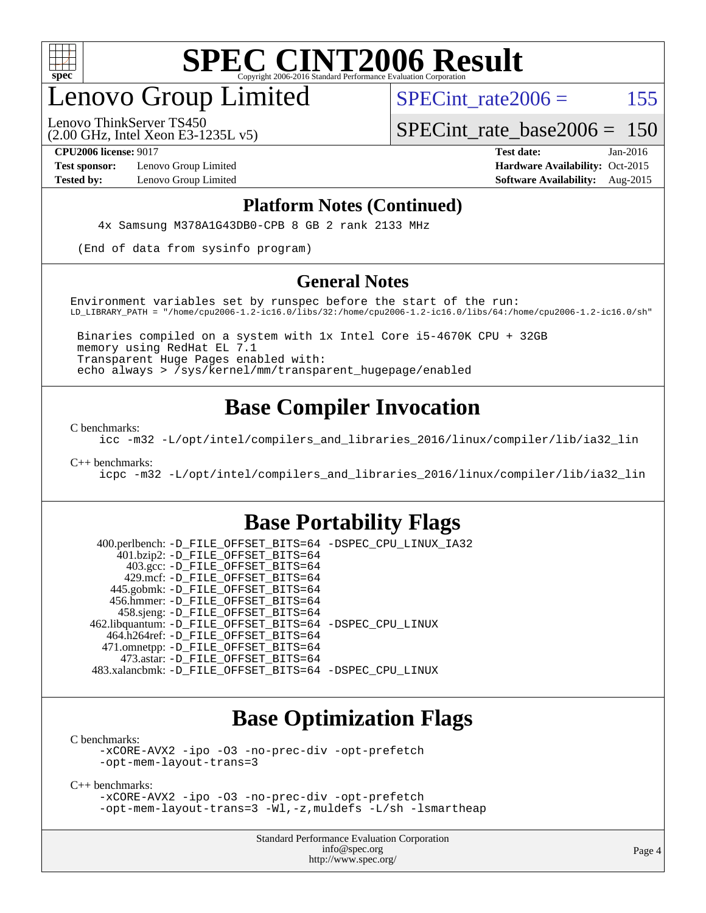

# enovo Group Limited

SPECint rate $2006 = 155$ 

(2.00 GHz, Intel Xeon E3-1235L v5) Lenovo ThinkServer TS450

SPECint rate base  $2006 = 150$ 

**[Test sponsor:](http://www.spec.org/auto/cpu2006/Docs/result-fields.html#Testsponsor)** Lenovo Group Limited **[Hardware Availability:](http://www.spec.org/auto/cpu2006/Docs/result-fields.html#HardwareAvailability)** Oct-2015

**[CPU2006 license:](http://www.spec.org/auto/cpu2006/Docs/result-fields.html#CPU2006license)** 9017 **[Test date:](http://www.spec.org/auto/cpu2006/Docs/result-fields.html#Testdate)** Jan-2016 **[Tested by:](http://www.spec.org/auto/cpu2006/Docs/result-fields.html#Testedby)** Lenovo Group Limited **[Software Availability:](http://www.spec.org/auto/cpu2006/Docs/result-fields.html#SoftwareAvailability)** Aug-2015

#### **[Platform Notes \(Continued\)](http://www.spec.org/auto/cpu2006/Docs/result-fields.html#PlatformNotes)**

4x Samsung M378A1G43DB0-CPB 8 GB 2 rank 2133 MHz

(End of data from sysinfo program)

#### **[General Notes](http://www.spec.org/auto/cpu2006/Docs/result-fields.html#GeneralNotes)**

Environment variables set by runspec before the start of the run: LD\_LIBRARY\_PATH = "/home/cpu2006-1.2-ic16.0/libs/32:/home/cpu2006-1.2-ic16.0/libs/64:/home/cpu2006-1.2-ic16.0/sh"

 Binaries compiled on a system with 1x Intel Core i5-4670K CPU + 32GB memory using RedHat EL 7.1 Transparent Huge Pages enabled with: echo always > /sys/kernel/mm/transparent\_hugepage/enabled

### **[Base Compiler Invocation](http://www.spec.org/auto/cpu2006/Docs/result-fields.html#BaseCompilerInvocation)**

[C benchmarks](http://www.spec.org/auto/cpu2006/Docs/result-fields.html#Cbenchmarks):

[icc -m32 -L/opt/intel/compilers\\_and\\_libraries\\_2016/linux/compiler/lib/ia32\\_lin](http://www.spec.org/cpu2006/results/res2016q1/cpu2006-20160125-38895.flags.html#user_CCbase_intel_icc_e10256ba5924b668798078a321b0cb3f)

[C++ benchmarks:](http://www.spec.org/auto/cpu2006/Docs/result-fields.html#CXXbenchmarks)

[icpc -m32 -L/opt/intel/compilers\\_and\\_libraries\\_2016/linux/compiler/lib/ia32\\_lin](http://www.spec.org/cpu2006/results/res2016q1/cpu2006-20160125-38895.flags.html#user_CXXbase_intel_icpc_b4f50a394bdb4597aa5879c16bc3f5c5)

### **[Base Portability Flags](http://www.spec.org/auto/cpu2006/Docs/result-fields.html#BasePortabilityFlags)**

 400.perlbench: [-D\\_FILE\\_OFFSET\\_BITS=64](http://www.spec.org/cpu2006/results/res2016q1/cpu2006-20160125-38895.flags.html#user_basePORTABILITY400_perlbench_file_offset_bits_64_438cf9856305ebd76870a2c6dc2689ab) [-DSPEC\\_CPU\\_LINUX\\_IA32](http://www.spec.org/cpu2006/results/res2016q1/cpu2006-20160125-38895.flags.html#b400.perlbench_baseCPORTABILITY_DSPEC_CPU_LINUX_IA32) 401.bzip2: [-D\\_FILE\\_OFFSET\\_BITS=64](http://www.spec.org/cpu2006/results/res2016q1/cpu2006-20160125-38895.flags.html#user_basePORTABILITY401_bzip2_file_offset_bits_64_438cf9856305ebd76870a2c6dc2689ab) 403.gcc: [-D\\_FILE\\_OFFSET\\_BITS=64](http://www.spec.org/cpu2006/results/res2016q1/cpu2006-20160125-38895.flags.html#user_basePORTABILITY403_gcc_file_offset_bits_64_438cf9856305ebd76870a2c6dc2689ab) 429.mcf: [-D\\_FILE\\_OFFSET\\_BITS=64](http://www.spec.org/cpu2006/results/res2016q1/cpu2006-20160125-38895.flags.html#user_basePORTABILITY429_mcf_file_offset_bits_64_438cf9856305ebd76870a2c6dc2689ab) 445.gobmk: [-D\\_FILE\\_OFFSET\\_BITS=64](http://www.spec.org/cpu2006/results/res2016q1/cpu2006-20160125-38895.flags.html#user_basePORTABILITY445_gobmk_file_offset_bits_64_438cf9856305ebd76870a2c6dc2689ab) 456.hmmer: [-D\\_FILE\\_OFFSET\\_BITS=64](http://www.spec.org/cpu2006/results/res2016q1/cpu2006-20160125-38895.flags.html#user_basePORTABILITY456_hmmer_file_offset_bits_64_438cf9856305ebd76870a2c6dc2689ab) 458.sjeng: [-D\\_FILE\\_OFFSET\\_BITS=64](http://www.spec.org/cpu2006/results/res2016q1/cpu2006-20160125-38895.flags.html#user_basePORTABILITY458_sjeng_file_offset_bits_64_438cf9856305ebd76870a2c6dc2689ab) 462.libquantum: [-D\\_FILE\\_OFFSET\\_BITS=64](http://www.spec.org/cpu2006/results/res2016q1/cpu2006-20160125-38895.flags.html#user_basePORTABILITY462_libquantum_file_offset_bits_64_438cf9856305ebd76870a2c6dc2689ab) [-DSPEC\\_CPU\\_LINUX](http://www.spec.org/cpu2006/results/res2016q1/cpu2006-20160125-38895.flags.html#b462.libquantum_baseCPORTABILITY_DSPEC_CPU_LINUX) 464.h264ref: [-D\\_FILE\\_OFFSET\\_BITS=64](http://www.spec.org/cpu2006/results/res2016q1/cpu2006-20160125-38895.flags.html#user_basePORTABILITY464_h264ref_file_offset_bits_64_438cf9856305ebd76870a2c6dc2689ab) 471.omnetpp: [-D\\_FILE\\_OFFSET\\_BITS=64](http://www.spec.org/cpu2006/results/res2016q1/cpu2006-20160125-38895.flags.html#user_basePORTABILITY471_omnetpp_file_offset_bits_64_438cf9856305ebd76870a2c6dc2689ab) 473.astar: [-D\\_FILE\\_OFFSET\\_BITS=64](http://www.spec.org/cpu2006/results/res2016q1/cpu2006-20160125-38895.flags.html#user_basePORTABILITY473_astar_file_offset_bits_64_438cf9856305ebd76870a2c6dc2689ab) 483.xalancbmk: [-D\\_FILE\\_OFFSET\\_BITS=64](http://www.spec.org/cpu2006/results/res2016q1/cpu2006-20160125-38895.flags.html#user_basePORTABILITY483_xalancbmk_file_offset_bits_64_438cf9856305ebd76870a2c6dc2689ab) [-DSPEC\\_CPU\\_LINUX](http://www.spec.org/cpu2006/results/res2016q1/cpu2006-20160125-38895.flags.html#b483.xalancbmk_baseCXXPORTABILITY_DSPEC_CPU_LINUX)

### **[Base Optimization Flags](http://www.spec.org/auto/cpu2006/Docs/result-fields.html#BaseOptimizationFlags)**

[C benchmarks](http://www.spec.org/auto/cpu2006/Docs/result-fields.html#Cbenchmarks):

[-xCORE-AVX2](http://www.spec.org/cpu2006/results/res2016q1/cpu2006-20160125-38895.flags.html#user_CCbase_f-xAVX2_5f5fc0cbe2c9f62c816d3e45806c70d7) [-ipo](http://www.spec.org/cpu2006/results/res2016q1/cpu2006-20160125-38895.flags.html#user_CCbase_f-ipo) [-O3](http://www.spec.org/cpu2006/results/res2016q1/cpu2006-20160125-38895.flags.html#user_CCbase_f-O3) [-no-prec-div](http://www.spec.org/cpu2006/results/res2016q1/cpu2006-20160125-38895.flags.html#user_CCbase_f-no-prec-div) [-opt-prefetch](http://www.spec.org/cpu2006/results/res2016q1/cpu2006-20160125-38895.flags.html#user_CCbase_f-opt-prefetch) [-opt-mem-layout-trans=3](http://www.spec.org/cpu2006/results/res2016q1/cpu2006-20160125-38895.flags.html#user_CCbase_f-opt-mem-layout-trans_a7b82ad4bd7abf52556d4961a2ae94d5)

[C++ benchmarks:](http://www.spec.org/auto/cpu2006/Docs/result-fields.html#CXXbenchmarks)

[-xCORE-AVX2](http://www.spec.org/cpu2006/results/res2016q1/cpu2006-20160125-38895.flags.html#user_CXXbase_f-xAVX2_5f5fc0cbe2c9f62c816d3e45806c70d7) [-ipo](http://www.spec.org/cpu2006/results/res2016q1/cpu2006-20160125-38895.flags.html#user_CXXbase_f-ipo) [-O3](http://www.spec.org/cpu2006/results/res2016q1/cpu2006-20160125-38895.flags.html#user_CXXbase_f-O3) [-no-prec-div](http://www.spec.org/cpu2006/results/res2016q1/cpu2006-20160125-38895.flags.html#user_CXXbase_f-no-prec-div) [-opt-prefetch](http://www.spec.org/cpu2006/results/res2016q1/cpu2006-20160125-38895.flags.html#user_CXXbase_f-opt-prefetch) [-opt-mem-layout-trans=3](http://www.spec.org/cpu2006/results/res2016q1/cpu2006-20160125-38895.flags.html#user_CXXbase_f-opt-mem-layout-trans_a7b82ad4bd7abf52556d4961a2ae94d5) [-Wl,-z,muldefs](http://www.spec.org/cpu2006/results/res2016q1/cpu2006-20160125-38895.flags.html#user_CXXbase_link_force_multiple1_74079c344b956b9658436fd1b6dd3a8a) [-L/sh -lsmartheap](http://www.spec.org/cpu2006/results/res2016q1/cpu2006-20160125-38895.flags.html#user_CXXbase_SmartHeap_32f6c82aa1ed9c52345d30cf6e4a0499)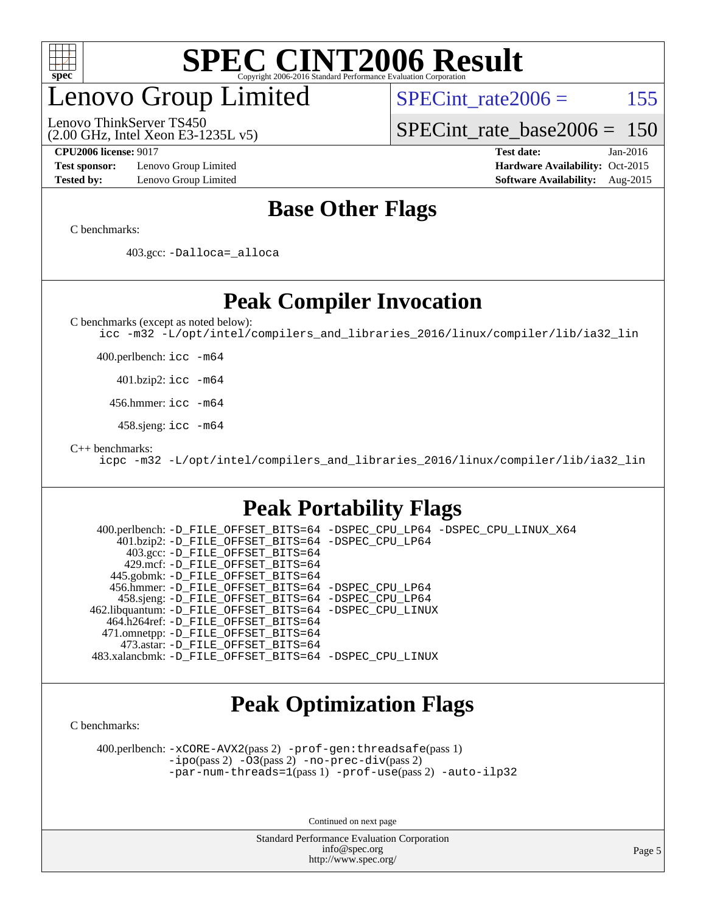

# enovo Group Limited

Lenovo ThinkServer TS450

SPECint rate $2006 = 155$ 

[SPECint\\_rate\\_base2006 =](http://www.spec.org/auto/cpu2006/Docs/result-fields.html#SPECintratebase2006) 150

**[Test sponsor:](http://www.spec.org/auto/cpu2006/Docs/result-fields.html#Testsponsor)** Lenovo Group Limited **[Hardware Availability:](http://www.spec.org/auto/cpu2006/Docs/result-fields.html#HardwareAvailability)** Oct-2015

(2.00 GHz, Intel Xeon E3-1235L v5)

**[CPU2006 license:](http://www.spec.org/auto/cpu2006/Docs/result-fields.html#CPU2006license)** 9017 **[Test date:](http://www.spec.org/auto/cpu2006/Docs/result-fields.html#Testdate)** Jan-2016 **[Tested by:](http://www.spec.org/auto/cpu2006/Docs/result-fields.html#Testedby)** Lenovo Group Limited **[Software Availability:](http://www.spec.org/auto/cpu2006/Docs/result-fields.html#SoftwareAvailability)** Aug-2015

### **[Base Other Flags](http://www.spec.org/auto/cpu2006/Docs/result-fields.html#BaseOtherFlags)**

[C benchmarks](http://www.spec.org/auto/cpu2006/Docs/result-fields.html#Cbenchmarks):

403.gcc: [-Dalloca=\\_alloca](http://www.spec.org/cpu2006/results/res2016q1/cpu2006-20160125-38895.flags.html#b403.gcc_baseEXTRA_CFLAGS_Dalloca_be3056838c12de2578596ca5467af7f3)

#### **[Peak Compiler Invocation](http://www.spec.org/auto/cpu2006/Docs/result-fields.html#PeakCompilerInvocation)**

[C benchmarks \(except as noted below\)](http://www.spec.org/auto/cpu2006/Docs/result-fields.html#Cbenchmarksexceptasnotedbelow):

[icc -m32 -L/opt/intel/compilers\\_and\\_libraries\\_2016/linux/compiler/lib/ia32\\_lin](http://www.spec.org/cpu2006/results/res2016q1/cpu2006-20160125-38895.flags.html#user_CCpeak_intel_icc_e10256ba5924b668798078a321b0cb3f)

400.perlbench: [icc -m64](http://www.spec.org/cpu2006/results/res2016q1/cpu2006-20160125-38895.flags.html#user_peakCCLD400_perlbench_intel_icc_64bit_bda6cc9af1fdbb0edc3795bac97ada53)

401.bzip2: [icc -m64](http://www.spec.org/cpu2006/results/res2016q1/cpu2006-20160125-38895.flags.html#user_peakCCLD401_bzip2_intel_icc_64bit_bda6cc9af1fdbb0edc3795bac97ada53)

456.hmmer: [icc -m64](http://www.spec.org/cpu2006/results/res2016q1/cpu2006-20160125-38895.flags.html#user_peakCCLD456_hmmer_intel_icc_64bit_bda6cc9af1fdbb0edc3795bac97ada53)

458.sjeng: [icc -m64](http://www.spec.org/cpu2006/results/res2016q1/cpu2006-20160125-38895.flags.html#user_peakCCLD458_sjeng_intel_icc_64bit_bda6cc9af1fdbb0edc3795bac97ada53)

[C++ benchmarks:](http://www.spec.org/auto/cpu2006/Docs/result-fields.html#CXXbenchmarks)

[icpc -m32 -L/opt/intel/compilers\\_and\\_libraries\\_2016/linux/compiler/lib/ia32\\_lin](http://www.spec.org/cpu2006/results/res2016q1/cpu2006-20160125-38895.flags.html#user_CXXpeak_intel_icpc_b4f50a394bdb4597aa5879c16bc3f5c5)

#### **[Peak Portability Flags](http://www.spec.org/auto/cpu2006/Docs/result-fields.html#PeakPortabilityFlags)**

 400.perlbench: [-D\\_FILE\\_OFFSET\\_BITS=64](http://www.spec.org/cpu2006/results/res2016q1/cpu2006-20160125-38895.flags.html#user_peakPORTABILITY400_perlbench_file_offset_bits_64_438cf9856305ebd76870a2c6dc2689ab) [-DSPEC\\_CPU\\_LP64](http://www.spec.org/cpu2006/results/res2016q1/cpu2006-20160125-38895.flags.html#b400.perlbench_peakCPORTABILITY_DSPEC_CPU_LP64) [-DSPEC\\_CPU\\_LINUX\\_X64](http://www.spec.org/cpu2006/results/res2016q1/cpu2006-20160125-38895.flags.html#b400.perlbench_peakCPORTABILITY_DSPEC_CPU_LINUX_X64) 401.bzip2: [-D\\_FILE\\_OFFSET\\_BITS=64](http://www.spec.org/cpu2006/results/res2016q1/cpu2006-20160125-38895.flags.html#user_peakPORTABILITY401_bzip2_file_offset_bits_64_438cf9856305ebd76870a2c6dc2689ab) [-DSPEC\\_CPU\\_LP64](http://www.spec.org/cpu2006/results/res2016q1/cpu2006-20160125-38895.flags.html#suite_peakCPORTABILITY401_bzip2_DSPEC_CPU_LP64) 403.gcc: [-D\\_FILE\\_OFFSET\\_BITS=64](http://www.spec.org/cpu2006/results/res2016q1/cpu2006-20160125-38895.flags.html#user_peakPORTABILITY403_gcc_file_offset_bits_64_438cf9856305ebd76870a2c6dc2689ab) 429.mcf: [-D\\_FILE\\_OFFSET\\_BITS=64](http://www.spec.org/cpu2006/results/res2016q1/cpu2006-20160125-38895.flags.html#user_peakPORTABILITY429_mcf_file_offset_bits_64_438cf9856305ebd76870a2c6dc2689ab) 445.gobmk: [-D\\_FILE\\_OFFSET\\_BITS=64](http://www.spec.org/cpu2006/results/res2016q1/cpu2006-20160125-38895.flags.html#user_peakPORTABILITY445_gobmk_file_offset_bits_64_438cf9856305ebd76870a2c6dc2689ab) 456.hmmer: [-D\\_FILE\\_OFFSET\\_BITS=64](http://www.spec.org/cpu2006/results/res2016q1/cpu2006-20160125-38895.flags.html#user_peakPORTABILITY456_hmmer_file_offset_bits_64_438cf9856305ebd76870a2c6dc2689ab) [-DSPEC\\_CPU\\_LP64](http://www.spec.org/cpu2006/results/res2016q1/cpu2006-20160125-38895.flags.html#suite_peakCPORTABILITY456_hmmer_DSPEC_CPU_LP64) 458.sjeng: [-D\\_FILE\\_OFFSET\\_BITS=64](http://www.spec.org/cpu2006/results/res2016q1/cpu2006-20160125-38895.flags.html#user_peakPORTABILITY458_sjeng_file_offset_bits_64_438cf9856305ebd76870a2c6dc2689ab) [-DSPEC\\_CPU\\_LP64](http://www.spec.org/cpu2006/results/res2016q1/cpu2006-20160125-38895.flags.html#suite_peakCPORTABILITY458_sjeng_DSPEC_CPU_LP64) 462.libquantum: [-D\\_FILE\\_OFFSET\\_BITS=64](http://www.spec.org/cpu2006/results/res2016q1/cpu2006-20160125-38895.flags.html#user_peakPORTABILITY462_libquantum_file_offset_bits_64_438cf9856305ebd76870a2c6dc2689ab) [-DSPEC\\_CPU\\_LINUX](http://www.spec.org/cpu2006/results/res2016q1/cpu2006-20160125-38895.flags.html#b462.libquantum_peakCPORTABILITY_DSPEC_CPU_LINUX) 464.h264ref: [-D\\_FILE\\_OFFSET\\_BITS=64](http://www.spec.org/cpu2006/results/res2016q1/cpu2006-20160125-38895.flags.html#user_peakPORTABILITY464_h264ref_file_offset_bits_64_438cf9856305ebd76870a2c6dc2689ab) 471.omnetpp: [-D\\_FILE\\_OFFSET\\_BITS=64](http://www.spec.org/cpu2006/results/res2016q1/cpu2006-20160125-38895.flags.html#user_peakPORTABILITY471_omnetpp_file_offset_bits_64_438cf9856305ebd76870a2c6dc2689ab) 473.astar: [-D\\_FILE\\_OFFSET\\_BITS=64](http://www.spec.org/cpu2006/results/res2016q1/cpu2006-20160125-38895.flags.html#user_peakPORTABILITY473_astar_file_offset_bits_64_438cf9856305ebd76870a2c6dc2689ab) 483.xalancbmk: [-D\\_FILE\\_OFFSET\\_BITS=64](http://www.spec.org/cpu2006/results/res2016q1/cpu2006-20160125-38895.flags.html#user_peakPORTABILITY483_xalancbmk_file_offset_bits_64_438cf9856305ebd76870a2c6dc2689ab) [-DSPEC\\_CPU\\_LINUX](http://www.spec.org/cpu2006/results/res2016q1/cpu2006-20160125-38895.flags.html#b483.xalancbmk_peakCXXPORTABILITY_DSPEC_CPU_LINUX)

### **[Peak Optimization Flags](http://www.spec.org/auto/cpu2006/Docs/result-fields.html#PeakOptimizationFlags)**

[C benchmarks](http://www.spec.org/auto/cpu2006/Docs/result-fields.html#Cbenchmarks):

 400.perlbench: [-xCORE-AVX2](http://www.spec.org/cpu2006/results/res2016q1/cpu2006-20160125-38895.flags.html#user_peakPASS2_CFLAGSPASS2_LDCFLAGS400_perlbench_f-xAVX2_5f5fc0cbe2c9f62c816d3e45806c70d7)(pass 2) [-prof-gen:threadsafe](http://www.spec.org/cpu2006/results/res2016q1/cpu2006-20160125-38895.flags.html#user_peakPASS1_CFLAGSPASS1_LDCFLAGS400_perlbench_prof_gen_21a26eb79f378b550acd7bec9fe4467a)(pass 1) [-ipo](http://www.spec.org/cpu2006/results/res2016q1/cpu2006-20160125-38895.flags.html#user_peakPASS2_CFLAGSPASS2_LDCFLAGS400_perlbench_f-ipo)(pass 2) [-O3](http://www.spec.org/cpu2006/results/res2016q1/cpu2006-20160125-38895.flags.html#user_peakPASS2_CFLAGSPASS2_LDCFLAGS400_perlbench_f-O3)(pass 2) [-no-prec-div](http://www.spec.org/cpu2006/results/res2016q1/cpu2006-20160125-38895.flags.html#user_peakPASS2_CFLAGSPASS2_LDCFLAGS400_perlbench_f-no-prec-div)(pass 2) [-par-num-threads=1](http://www.spec.org/cpu2006/results/res2016q1/cpu2006-20160125-38895.flags.html#user_peakPASS1_CFLAGSPASS1_LDCFLAGS400_perlbench_par_num_threads_786a6ff141b4e9e90432e998842df6c2)(pass 1) [-prof-use](http://www.spec.org/cpu2006/results/res2016q1/cpu2006-20160125-38895.flags.html#user_peakPASS2_CFLAGSPASS2_LDCFLAGS400_perlbench_prof_use_bccf7792157ff70d64e32fe3e1250b55)(pass 2) [-auto-ilp32](http://www.spec.org/cpu2006/results/res2016q1/cpu2006-20160125-38895.flags.html#user_peakCOPTIMIZE400_perlbench_f-auto-ilp32)

Continued on next page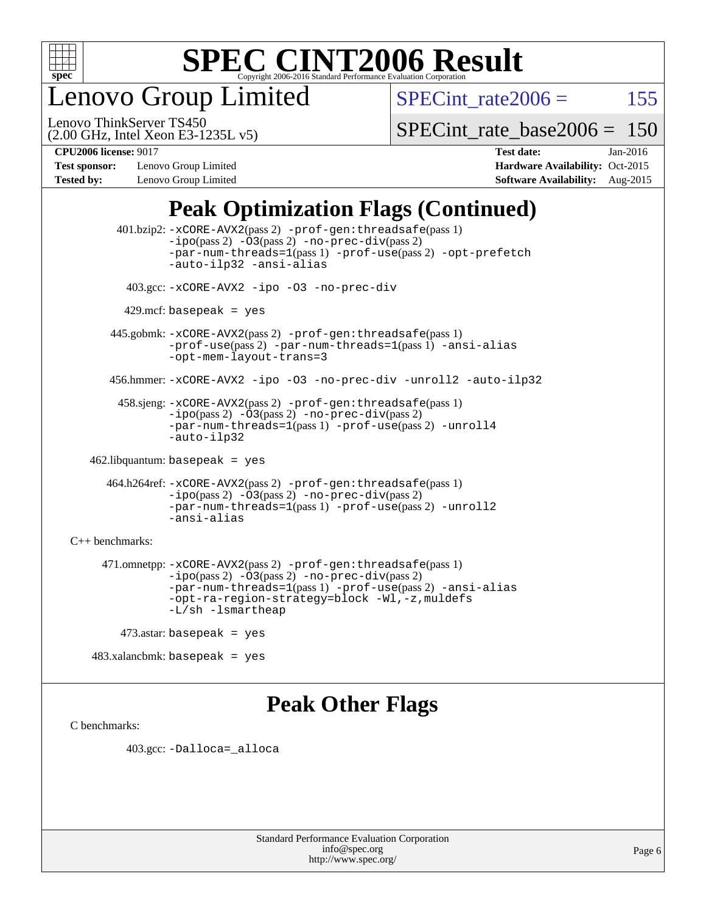

enovo Group Limited

SPECint rate $2006 = 155$ 

(2.00 GHz, Intel Xeon E3-1235L v5) Lenovo ThinkServer TS450

[SPECint\\_rate\\_base2006 =](http://www.spec.org/auto/cpu2006/Docs/result-fields.html#SPECintratebase2006) 150

**[Test sponsor:](http://www.spec.org/auto/cpu2006/Docs/result-fields.html#Testsponsor)** Lenovo Group Limited **[Hardware Availability:](http://www.spec.org/auto/cpu2006/Docs/result-fields.html#HardwareAvailability)** Oct-2015

**[CPU2006 license:](http://www.spec.org/auto/cpu2006/Docs/result-fields.html#CPU2006license)** 9017 **[Test date:](http://www.spec.org/auto/cpu2006/Docs/result-fields.html#Testdate)** Jan-2016 **[Tested by:](http://www.spec.org/auto/cpu2006/Docs/result-fields.html#Testedby)** Lenovo Group Limited **[Software Availability:](http://www.spec.org/auto/cpu2006/Docs/result-fields.html#SoftwareAvailability)** Aug-2015

### **[Peak Optimization Flags \(Continued\)](http://www.spec.org/auto/cpu2006/Docs/result-fields.html#PeakOptimizationFlags)**

 401.bzip2: [-xCORE-AVX2](http://www.spec.org/cpu2006/results/res2016q1/cpu2006-20160125-38895.flags.html#user_peakPASS2_CFLAGSPASS2_LDCFLAGS401_bzip2_f-xAVX2_5f5fc0cbe2c9f62c816d3e45806c70d7)(pass 2) [-prof-gen:threadsafe](http://www.spec.org/cpu2006/results/res2016q1/cpu2006-20160125-38895.flags.html#user_peakPASS1_CFLAGSPASS1_LDCFLAGS401_bzip2_prof_gen_21a26eb79f378b550acd7bec9fe4467a)(pass 1)  $-i\text{po}(pass 2) -03(pass 2) -no-prec-div(pass 2)$  $-i\text{po}(pass 2) -03(pass 2) -no-prec-div(pass 2)$  $-i\text{po}(pass 2) -03(pass 2) -no-prec-div(pass 2)$ [-par-num-threads=1](http://www.spec.org/cpu2006/results/res2016q1/cpu2006-20160125-38895.flags.html#user_peakPASS1_CFLAGSPASS1_LDCFLAGS401_bzip2_par_num_threads_786a6ff141b4e9e90432e998842df6c2)(pass 1) [-prof-use](http://www.spec.org/cpu2006/results/res2016q1/cpu2006-20160125-38895.flags.html#user_peakPASS2_CFLAGSPASS2_LDCFLAGS401_bzip2_prof_use_bccf7792157ff70d64e32fe3e1250b55)(pass 2) [-opt-prefetch](http://www.spec.org/cpu2006/results/res2016q1/cpu2006-20160125-38895.flags.html#user_peakCOPTIMIZE401_bzip2_f-opt-prefetch) [-auto-ilp32](http://www.spec.org/cpu2006/results/res2016q1/cpu2006-20160125-38895.flags.html#user_peakCOPTIMIZE401_bzip2_f-auto-ilp32) [-ansi-alias](http://www.spec.org/cpu2006/results/res2016q1/cpu2006-20160125-38895.flags.html#user_peakCOPTIMIZE401_bzip2_f-ansi-alias) 403.gcc: [-xCORE-AVX2](http://www.spec.org/cpu2006/results/res2016q1/cpu2006-20160125-38895.flags.html#user_peakCOPTIMIZE403_gcc_f-xAVX2_5f5fc0cbe2c9f62c816d3e45806c70d7) [-ipo](http://www.spec.org/cpu2006/results/res2016q1/cpu2006-20160125-38895.flags.html#user_peakCOPTIMIZE403_gcc_f-ipo) [-O3](http://www.spec.org/cpu2006/results/res2016q1/cpu2006-20160125-38895.flags.html#user_peakCOPTIMIZE403_gcc_f-O3) [-no-prec-div](http://www.spec.org/cpu2006/results/res2016q1/cpu2006-20160125-38895.flags.html#user_peakCOPTIMIZE403_gcc_f-no-prec-div)  $429$ .mcf: basepeak = yes 445.gobmk: [-xCORE-AVX2](http://www.spec.org/cpu2006/results/res2016q1/cpu2006-20160125-38895.flags.html#user_peakPASS2_CFLAGSPASS2_LDCFLAGS445_gobmk_f-xAVX2_5f5fc0cbe2c9f62c816d3e45806c70d7)(pass 2) [-prof-gen:threadsafe](http://www.spec.org/cpu2006/results/res2016q1/cpu2006-20160125-38895.flags.html#user_peakPASS1_CFLAGSPASS1_LDCFLAGS445_gobmk_prof_gen_21a26eb79f378b550acd7bec9fe4467a)(pass 1) [-prof-use](http://www.spec.org/cpu2006/results/res2016q1/cpu2006-20160125-38895.flags.html#user_peakPASS2_CFLAGSPASS2_LDCFLAGS445_gobmk_prof_use_bccf7792157ff70d64e32fe3e1250b55)(pass 2) [-par-num-threads=1](http://www.spec.org/cpu2006/results/res2016q1/cpu2006-20160125-38895.flags.html#user_peakPASS1_CFLAGSPASS1_LDCFLAGS445_gobmk_par_num_threads_786a6ff141b4e9e90432e998842df6c2)(pass 1) [-ansi-alias](http://www.spec.org/cpu2006/results/res2016q1/cpu2006-20160125-38895.flags.html#user_peakCOPTIMIZE445_gobmk_f-ansi-alias) [-opt-mem-layout-trans=3](http://www.spec.org/cpu2006/results/res2016q1/cpu2006-20160125-38895.flags.html#user_peakCOPTIMIZE445_gobmk_f-opt-mem-layout-trans_a7b82ad4bd7abf52556d4961a2ae94d5) 456.hmmer: [-xCORE-AVX2](http://www.spec.org/cpu2006/results/res2016q1/cpu2006-20160125-38895.flags.html#user_peakCOPTIMIZE456_hmmer_f-xAVX2_5f5fc0cbe2c9f62c816d3e45806c70d7) [-ipo](http://www.spec.org/cpu2006/results/res2016q1/cpu2006-20160125-38895.flags.html#user_peakCOPTIMIZE456_hmmer_f-ipo) [-O3](http://www.spec.org/cpu2006/results/res2016q1/cpu2006-20160125-38895.flags.html#user_peakCOPTIMIZE456_hmmer_f-O3) [-no-prec-div](http://www.spec.org/cpu2006/results/res2016q1/cpu2006-20160125-38895.flags.html#user_peakCOPTIMIZE456_hmmer_f-no-prec-div) [-unroll2](http://www.spec.org/cpu2006/results/res2016q1/cpu2006-20160125-38895.flags.html#user_peakCOPTIMIZE456_hmmer_f-unroll_784dae83bebfb236979b41d2422d7ec2) [-auto-ilp32](http://www.spec.org/cpu2006/results/res2016q1/cpu2006-20160125-38895.flags.html#user_peakCOPTIMIZE456_hmmer_f-auto-ilp32) 458.sjeng: [-xCORE-AVX2](http://www.spec.org/cpu2006/results/res2016q1/cpu2006-20160125-38895.flags.html#user_peakPASS2_CFLAGSPASS2_LDCFLAGS458_sjeng_f-xAVX2_5f5fc0cbe2c9f62c816d3e45806c70d7)(pass 2) [-prof-gen:threadsafe](http://www.spec.org/cpu2006/results/res2016q1/cpu2006-20160125-38895.flags.html#user_peakPASS1_CFLAGSPASS1_LDCFLAGS458_sjeng_prof_gen_21a26eb79f378b550acd7bec9fe4467a)(pass 1) [-ipo](http://www.spec.org/cpu2006/results/res2016q1/cpu2006-20160125-38895.flags.html#user_peakPASS2_CFLAGSPASS2_LDCFLAGS458_sjeng_f-ipo)(pass 2) [-O3](http://www.spec.org/cpu2006/results/res2016q1/cpu2006-20160125-38895.flags.html#user_peakPASS2_CFLAGSPASS2_LDCFLAGS458_sjeng_f-O3)(pass 2) [-no-prec-div](http://www.spec.org/cpu2006/results/res2016q1/cpu2006-20160125-38895.flags.html#user_peakPASS2_CFLAGSPASS2_LDCFLAGS458_sjeng_f-no-prec-div)(pass 2) [-par-num-threads=1](http://www.spec.org/cpu2006/results/res2016q1/cpu2006-20160125-38895.flags.html#user_peakPASS1_CFLAGSPASS1_LDCFLAGS458_sjeng_par_num_threads_786a6ff141b4e9e90432e998842df6c2)(pass 1) [-prof-use](http://www.spec.org/cpu2006/results/res2016q1/cpu2006-20160125-38895.flags.html#user_peakPASS2_CFLAGSPASS2_LDCFLAGS458_sjeng_prof_use_bccf7792157ff70d64e32fe3e1250b55)(pass 2) [-unroll4](http://www.spec.org/cpu2006/results/res2016q1/cpu2006-20160125-38895.flags.html#user_peakCOPTIMIZE458_sjeng_f-unroll_4e5e4ed65b7fd20bdcd365bec371b81f) [-auto-ilp32](http://www.spec.org/cpu2006/results/res2016q1/cpu2006-20160125-38895.flags.html#user_peakCOPTIMIZE458_sjeng_f-auto-ilp32) 462.libquantum: basepeak = yes 464.h264ref: [-xCORE-AVX2](http://www.spec.org/cpu2006/results/res2016q1/cpu2006-20160125-38895.flags.html#user_peakPASS2_CFLAGSPASS2_LDCFLAGS464_h264ref_f-xAVX2_5f5fc0cbe2c9f62c816d3e45806c70d7)(pass 2) [-prof-gen:threadsafe](http://www.spec.org/cpu2006/results/res2016q1/cpu2006-20160125-38895.flags.html#user_peakPASS1_CFLAGSPASS1_LDCFLAGS464_h264ref_prof_gen_21a26eb79f378b550acd7bec9fe4467a)(pass 1) [-ipo](http://www.spec.org/cpu2006/results/res2016q1/cpu2006-20160125-38895.flags.html#user_peakPASS2_CFLAGSPASS2_LDCFLAGS464_h264ref_f-ipo)(pass 2) [-O3](http://www.spec.org/cpu2006/results/res2016q1/cpu2006-20160125-38895.flags.html#user_peakPASS2_CFLAGSPASS2_LDCFLAGS464_h264ref_f-O3)(pass 2) [-no-prec-div](http://www.spec.org/cpu2006/results/res2016q1/cpu2006-20160125-38895.flags.html#user_peakPASS2_CFLAGSPASS2_LDCFLAGS464_h264ref_f-no-prec-div)(pass 2) [-par-num-threads=1](http://www.spec.org/cpu2006/results/res2016q1/cpu2006-20160125-38895.flags.html#user_peakPASS1_CFLAGSPASS1_LDCFLAGS464_h264ref_par_num_threads_786a6ff141b4e9e90432e998842df6c2)(pass 1) [-prof-use](http://www.spec.org/cpu2006/results/res2016q1/cpu2006-20160125-38895.flags.html#user_peakPASS2_CFLAGSPASS2_LDCFLAGS464_h264ref_prof_use_bccf7792157ff70d64e32fe3e1250b55)(pass 2) [-unroll2](http://www.spec.org/cpu2006/results/res2016q1/cpu2006-20160125-38895.flags.html#user_peakCOPTIMIZE464_h264ref_f-unroll_784dae83bebfb236979b41d2422d7ec2) [-ansi-alias](http://www.spec.org/cpu2006/results/res2016q1/cpu2006-20160125-38895.flags.html#user_peakCOPTIMIZE464_h264ref_f-ansi-alias) [C++ benchmarks:](http://www.spec.org/auto/cpu2006/Docs/result-fields.html#CXXbenchmarks) 471.omnetpp: [-xCORE-AVX2](http://www.spec.org/cpu2006/results/res2016q1/cpu2006-20160125-38895.flags.html#user_peakPASS2_CXXFLAGSPASS2_LDCXXFLAGS471_omnetpp_f-xAVX2_5f5fc0cbe2c9f62c816d3e45806c70d7)(pass 2) [-prof-gen:threadsafe](http://www.spec.org/cpu2006/results/res2016q1/cpu2006-20160125-38895.flags.html#user_peakPASS1_CXXFLAGSPASS1_LDCXXFLAGS471_omnetpp_prof_gen_21a26eb79f378b550acd7bec9fe4467a)(pass 1)  $-ipo(pass 2) -\overline{03(pass 2)}$  $-ipo(pass 2) -\overline{03(pass 2)}$  [-no-prec-div](http://www.spec.org/cpu2006/results/res2016q1/cpu2006-20160125-38895.flags.html#user_peakPASS2_CXXFLAGSPASS2_LDCXXFLAGS471_omnetpp_f-no-prec-div)(pass 2) [-par-num-threads=1](http://www.spec.org/cpu2006/results/res2016q1/cpu2006-20160125-38895.flags.html#user_peakPASS1_CXXFLAGSPASS1_LDCXXFLAGS471_omnetpp_par_num_threads_786a6ff141b4e9e90432e998842df6c2)(pass 1) [-prof-use](http://www.spec.org/cpu2006/results/res2016q1/cpu2006-20160125-38895.flags.html#user_peakPASS2_CXXFLAGSPASS2_LDCXXFLAGS471_omnetpp_prof_use_bccf7792157ff70d64e32fe3e1250b55)(pass 2) [-ansi-alias](http://www.spec.org/cpu2006/results/res2016q1/cpu2006-20160125-38895.flags.html#user_peakCXXOPTIMIZE471_omnetpp_f-ansi-alias) [-opt-ra-region-strategy=block](http://www.spec.org/cpu2006/results/res2016q1/cpu2006-20160125-38895.flags.html#user_peakCXXOPTIMIZE471_omnetpp_f-opt-ra-region-strategy_a0a37c372d03933b2a18d4af463c1f69) [-Wl,-z,muldefs](http://www.spec.org/cpu2006/results/res2016q1/cpu2006-20160125-38895.flags.html#user_peakEXTRA_LDFLAGS471_omnetpp_link_force_multiple1_74079c344b956b9658436fd1b6dd3a8a) [-L/sh -lsmartheap](http://www.spec.org/cpu2006/results/res2016q1/cpu2006-20160125-38895.flags.html#user_peakEXTRA_LIBS471_omnetpp_SmartHeap_32f6c82aa1ed9c52345d30cf6e4a0499) 473.astar: basepeak = yes

483.xalancbmk: basepeak = yes

### **[Peak Other Flags](http://www.spec.org/auto/cpu2006/Docs/result-fields.html#PeakOtherFlags)**

[C benchmarks](http://www.spec.org/auto/cpu2006/Docs/result-fields.html#Cbenchmarks):

403.gcc: [-Dalloca=\\_alloca](http://www.spec.org/cpu2006/results/res2016q1/cpu2006-20160125-38895.flags.html#b403.gcc_peakEXTRA_CFLAGS_Dalloca_be3056838c12de2578596ca5467af7f3)